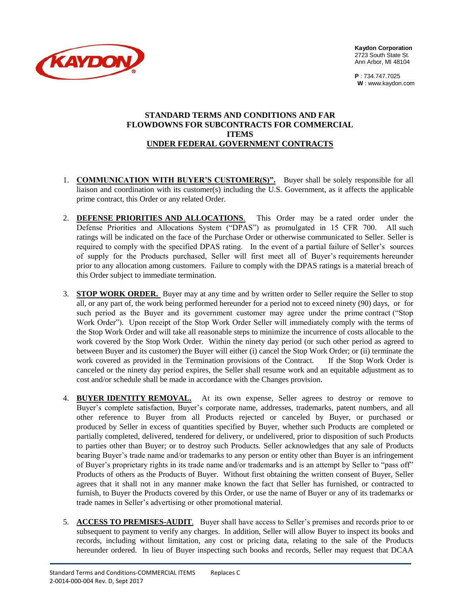

**Kaydon Corporation**  2723 South State St. Ann Arbor, MI 48104

**P** : 734.747.7025 **W** : [www.kaydon.com](http://www.kaydon.com/)

#### **STANDARD TERMS AND CONDITIONS AND FAR FLOWDOWNS FOR SUBCONTRACTS FOR COMMERCIAL ITEMS UNDER FEDERAL GOVERNMENT CONTRACTS**

- 1. **COMMUNICATION WITH BUYER'S CUSTOMER(S)".** Buyer shall be solely responsible for all liaison and coordination with its customer(s) including the U.S. Government, as it affects the applicable prime contract, this Order or any related Order.
- 2. **DEFENSE PRIORITIES AND ALLOCATIONS**. This Order may be a rated order under the Defense Priorities and Allocations System ("DPAS") as promulgated in 15 CFR 700. All such ratings will be indicated on the face of the Purchase Order or otherwise communicated to Seller. Seller is required to comply with the specified DPAS rating. In the event of a partial failure of Seller's sources of supply for the Products purchased, Seller will first meet all of Buyer's requirements hereunder prior to any allocation among customers. Failure to comply with the DPAS ratings is a material breach of this Order subject to immediate termination.
- 3. **STOP WORK ORDER.** Buyer may at any time and by written order to Seller require the Seller to stop all, or any part of, the work being performed hereunder for a period not to exceed ninety (90) days, or for such period as the Buyer and its government customer may agree under the prime contract ("Stop Work Order"). Upon receipt of the Stop Work Order Seller will immediately comply with the terms of the Stop Work Order and will take all reasonable steps to minimize the incurrence of costs allocable to the work covered by the Stop Work Order. Within the ninety day period (or such other period as agreed to between Buyer and its customer) the Buyer will either (i) cancel the Stop Work Order; or (ii) terminate the work covered as provided in the Termination provisions of the Contract. If the Stop Work Order is canceled or the ninety day period expires, the Seller shall resume work and an equitable adjustment as to cost and/or schedule shall be made in accordance with the Changes provision.
- 4. **BUYER IDENTITY REMOVAL.** At its own expense, Seller agrees to destroy or remove to Buyer's complete satisfaction, Buyer's corporate name, addresses, trademarks, patent numbers, and all other reference to Buyer from all Products rejected or canceled by Buyer, or purchased or produced by Seller in excess of quantities specified by Buyer, whether such Products are completed or partially completed, delivered, tendered for delivery, or undelivered, prior to disposition of such Products to parties other than Buyer; or to destroy such Products. Seller acknowledges that any sale of Products bearing Buyer's trade name and/or trademarks to any person or entity other than Buyer is an infringement of Buyer's proprietary rights in its trade name and/or trademarks and is an attempt by Seller to "pass off" Products of others as the Products of Buyer. Without first obtaining the written consent of Buyer, Seller agrees that it shall not in any manner make known the fact that Seller has furnished, or contracted to furnish, to Buyer the Products covered by this Order, or use the name of Buyer or any of its trademarks or trade names in Seller's advertising or other promotional material.
- 5. **ACCESS TO PREMISES-AUDIT**. Buyer shall have access to Seller's premises and records prior to or subsequent to payment to verify any charges. In addition, Seller will allow Buyer to inspect its books and records, including without limitation, any cost or pricing data, relating to the sale of the Products hereunder ordered. In lieu of Buyer inspecting such books and records, Seller may request that DCAA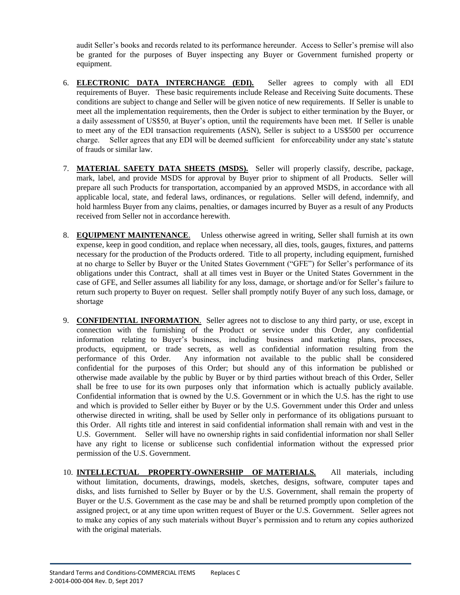audit Seller's books and records related to its performance hereunder. Access to Seller's premise will also be granted for the purposes of Buyer inspecting any Buyer or Government furnished property or equipment.

- 6. **ELECTRONIC DATA INTERCHANGE (EDI).** Seller agrees to comply with all EDI requirements of Buyer. These basic requirements include Release and Receiving Suite documents. These conditions are subject to change and Seller will be given notice of new requirements. If Seller is unable to meet all the implementation requirements, then the Order is subject to either termination by the Buyer, or a daily assessment of US\$50, at Buyer's option, until the requirements have been met. If Seller is unable to meet any of the EDI transaction requirements (ASN), Seller is subject to a US\$500 per occurrence charge. Seller agrees that any EDI will be deemed sufficient for enforceability under any state's statute of frauds or similar law.
- 7. **MATERIAL SAFETY DATA SHEETS (MSDS).** Seller will properly classify, describe, package, mark, label, and provide MSDS for approval by Buyer prior to shipment of all Products. Seller will prepare all such Products for transportation, accompanied by an approved MSDS, in accordance with all applicable local, state, and federal laws, ordinances, or regulations. Seller will defend, indemnify, and hold harmless Buyer from any claims, penalties, or damages incurred by Buyer as a result of any Products received from Seller not in accordance herewith.
- 8. **EQUIPMENT MAINTENANCE**. Unless otherwise agreed in writing, Seller shall furnish at its own expense, keep in good condition, and replace when necessary, all dies, tools, gauges, fixtures, and patterns necessary for the production of the Products ordered. Title to all property, including equipment, furnished at no charge to Seller by Buyer or the United States Government ("GFE") for Seller's performance of its obligations under this Contract, shall at all times vest in Buyer or the United States Government in the case of GFE, and Seller assumes all liability for any loss, damage, or shortage and/or for Seller's failure to return such property to Buyer on request. Seller shall promptly notify Buyer of any such loss, damage, or shortage
- 9. **CONFIDENTIAL INFORMATION**. Seller agrees not to disclose to any third party, or use, except in connection with the furnishing of the Product or service under this Order, any confidential information relating to Buyer's business, including business and marketing plans, processes, products, equipment, or trade secrets, as well as confidential information resulting from the performance of this Order. Any information not available to the public shall be considered confidential for the purposes of this Order; but should any of this information be published or otherwise made available by the public by Buyer or by third parties without breach of this Order, Seller shall be free to use for its own purposes only that information which is actually publicly available. Confidential information that is owned by the U.S. Government or in which the U.S. has the right to use and which is provided to Seller either by Buyer or by the U.S. Government under this Order and unless otherwise directed in writing, shall be used by Seller only in performance of its obligations pursuant to this Order. All rights title and interest in said confidential information shall remain with and vest in the U.S. Government. Seller will have no ownership rights in said confidential information nor shall Seller have any right to license or sublicense such confidential information without the expressed prior permission of the U.S. Government.
- 10. **INTELLECTUAL PROPERTY-OWNERSHIP OF MATERIALS.** All materials, including without limitation, documents, drawings, models, sketches, designs, software, computer tapes and disks, and lists furnished to Seller by Buyer or by the U.S. Government, shall remain the property of Buyer or the U.S. Government as the case may be and shall be returned promptly upon completion of the assigned project, or at any time upon written request of Buyer or the U.S. Government. Seller agrees not to make any copies of any such materials without Buyer's permission and to return any copies authorized with the original materials.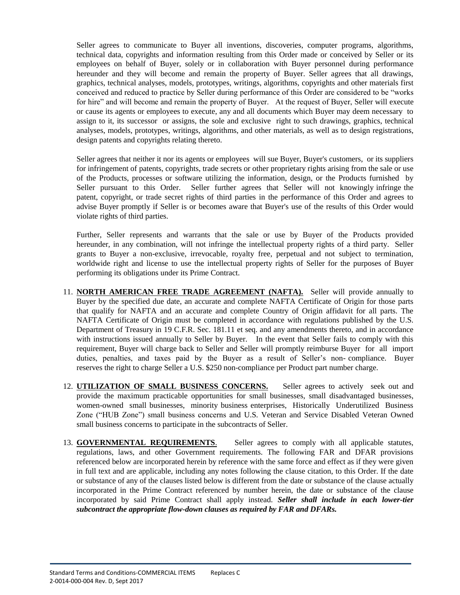Seller agrees to communicate to Buyer all inventions, discoveries, computer programs, algorithms, technical data, copyrights and information resulting from this Order made or conceived by Seller or its employees on behalf of Buyer, solely or in collaboration with Buyer personnel during performance hereunder and they will become and remain the property of Buyer. Seller agrees that all drawings, graphics, technical analyses, models, prototypes, writings, algorithms, copyrights and other materials first conceived and reduced to practice by Seller during performance of this Order are considered to be "works for hire" and will become and remain the property of Buyer. At the request of Buyer, Seller will execute or cause its agents or employees to execute, any and all documents which Buyer may deem necessary to assign to it, its successor or assigns, the sole and exclusive right to such drawings, graphics, technical analyses, models, prototypes, writings, algorithms, and other materials, as well as to design registrations, design patents and copyrights relating thereto.

Seller agrees that neither it nor its agents or employees will sue Buyer, Buyer's customers, or its suppliers for infringement of patents, copyrights, trade secrets or other proprietary rights arising from the sale or use of the Products, processes or software utilizing the information, design, or the Products furnished by Seller pursuant to this Order. Seller further agrees that Seller will not knowingly infringe the patent, copyright, or trade secret rights of third parties in the performance of this Order and agrees to advise Buyer promptly if Seller is or becomes aware that Buyer's use of the results of this Order would violate rights of third parties.

Further, Seller represents and warrants that the sale or use by Buyer of the Products provided hereunder, in any combination, will not infringe the intellectual property rights of a third party. Seller grants to Buyer a non-exclusive, irrevocable, royalty free, perpetual and not subject to termination, worldwide right and license to use the intellectual property rights of Seller for the purposes of Buyer performing its obligations under its Prime Contract.

- 11. **NORTH AMERICAN FREE TRADE AGREEMENT (NAFTA).** Seller will provide annually to Buyer by the specified due date, an accurate and complete NAFTA Certificate of Origin for those parts that qualify for NAFTA and an accurate and complete Country of Origin affidavit for all parts. The NAFTA Certificate of Origin must be completed in accordance with regulations published by the U.S. Department of Treasury in 19 C.F.R. Sec. 181.11 et seq. and any amendments thereto, and in accordance with instructions issued annually to Seller by Buyer. In the event that Seller fails to comply with this requirement, Buyer will charge back to Seller and Seller will promptly reimburse Buyer for all import duties, penalties, and taxes paid by the Buyer as a result of Seller's non- compliance. Buyer reserves the right to charge Seller a U.S. \$250 non-compliance per Product part number charge.
- 12. **UTILIZATION OF SMALL BUSINESS CONCERNS.** Seller agrees to actively seek out and provide the maximum practicable opportunities for small businesses, small disadvantaged businesses, women-owned small businesses, minority business enterprises, Historically Underutilized Business Zone ("HUB Zone") small business concerns and U.S. Veteran and Service Disabled Veteran Owned small business concerns to participate in the subcontracts of Seller.
- 13. **GOVERNMENTAL REQUIREMENTS**. Seller agrees to comply with all applicable statutes, regulations, laws, and other Government requirements. The following FAR and DFAR provisions referenced below are incorporated herein by reference with the same force and effect as if they were given in full text and are applicable, including any notes following the clause citation, to this Order. If the date or substance of any of the clauses listed below is different from the date or substance of the clause actually incorporated in the Prime Contract referenced by number herein, the date or substance of the clause incorporated by said Prime Contract shall apply instead. *Seller shall include in each lower-tier subcontract the appropriate flow-down clauses as required by FAR and DFARs.*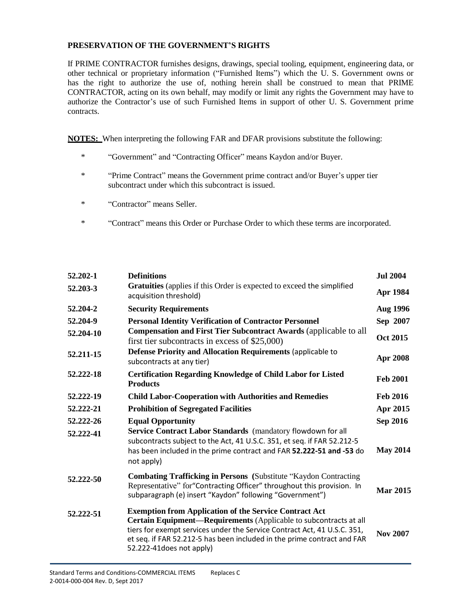### **PRESERVATION OF THE GOVERNMENT'S RIGHTS**

If PRIME CONTRACTOR furnishes designs, drawings, special tooling, equipment, engineering data, or other technical or proprietary information ("Furnished Items") which the U. S. Government owns or has the right to authorize the use of, nothing herein shall be construed to mean that PRIME CONTRACTOR, acting on its own behalf, may modify or limit any rights the Government may have to authorize the Contractor's use of such Furnished Items in support of other U. S. Government prime contracts.

**NOTES:** When interpreting the following FAR and DFAR provisions substitute the following:

- \* "Government" and "Contracting Officer" means Kaydon and/or Buyer.
- \* "Prime Contract" means the Government prime contract and/or Buyer's upper tier subcontract under which this subcontract is issued.
- \* "Contractor" means Seller.
- \* "Contract" means this Order or Purchase Order to which these terms are incorporated.

| 52.202-1               | <b>Definitions</b>                                                                                                                                                                                                                                                                                                     | <b>Jul 2004</b> |
|------------------------|------------------------------------------------------------------------------------------------------------------------------------------------------------------------------------------------------------------------------------------------------------------------------------------------------------------------|-----------------|
| 52.203-3               | Gratuities (applies if this Order is expected to exceed the simplified<br>acquisition threshold)                                                                                                                                                                                                                       | Apr 1984        |
| 52.204-2               | <b>Security Requirements</b>                                                                                                                                                                                                                                                                                           | <b>Aug 1996</b> |
| 52.204-9               | <b>Personal Identity Verification of Contractor Personnel</b>                                                                                                                                                                                                                                                          | Sep 2007        |
| 52.204-10              | <b>Compensation and First Tier Subcontract Awards (applicable to all</b><br>first tier subcontracts in excess of $$25,000$ )                                                                                                                                                                                           | <b>Oct 2015</b> |
| 52.211-15              | Defense Priority and Allocation Requirements (applicable to<br>subcontracts at any tier)                                                                                                                                                                                                                               | Apr 2008        |
| 52.222-18              | <b>Certification Regarding Knowledge of Child Labor for Listed</b><br><b>Products</b>                                                                                                                                                                                                                                  | <b>Feb 2001</b> |
| 52.222-19              | <b>Child Labor-Cooperation with Authorities and Remedies</b>                                                                                                                                                                                                                                                           | <b>Feb 2016</b> |
| 52.222-21              | <b>Prohibition of Segregated Facilities</b>                                                                                                                                                                                                                                                                            | Apr 2015        |
| 52.222-26<br>52.222-41 | <b>Equal Opportunity</b><br>Service Contract Labor Standards (mandatory flowdown for all<br>subcontracts subject to the Act, 41 U.S.C. 351, et seq. if FAR 52.212-5                                                                                                                                                    | <b>Sep 2016</b> |
|                        | has been included in the prime contract and FAR 52.222-51 and -53 do<br>not apply)                                                                                                                                                                                                                                     | <b>May 2014</b> |
| 52.222-50              | <b>Combating Trafficking in Persons</b> (Substitute "Kaydon Contracting<br>Representative" for "Contracting Officer" throughout this provision. In<br>subparagraph (e) insert "Kaydon" following "Government")                                                                                                         | <b>Mar 2015</b> |
| 52.222-51              | <b>Exemption from Application of the Service Contract Act</b><br>Certain Equipment—Requirements (Applicable to subcontracts at all<br>tiers for exempt services under the Service Contract Act, 41 U.S.C. 351,<br>et seq. if FAR 52.212-5 has been included in the prime contract and FAR<br>52.222-41 does not apply) | <b>Nov 2007</b> |
|                        |                                                                                                                                                                                                                                                                                                                        |                 |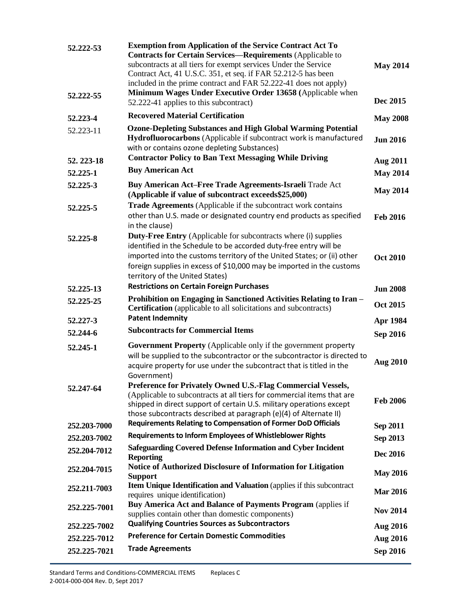| 52.222-53<br>52.222-55 | <b>Exemption from Application of the Service Contract Act To</b><br><b>Contracts for Certain Services—Requirements (Applicable to</b><br>subcontracts at all tiers for exempt services Under the Service<br>Contract Act, 41 U.S.C. 351, et seq. if FAR 52.212-5 has been<br>included in the prime contract and FAR 52.222-41 does not apply)<br>Minimum Wages Under Executive Order 13658 (Applicable when | <b>May 2014</b> |
|------------------------|-------------------------------------------------------------------------------------------------------------------------------------------------------------------------------------------------------------------------------------------------------------------------------------------------------------------------------------------------------------------------------------------------------------|-----------------|
|                        | 52.222-41 applies to this subcontract)                                                                                                                                                                                                                                                                                                                                                                      | Dec 2015        |
| 52.223-4               | <b>Recovered Material Certification</b>                                                                                                                                                                                                                                                                                                                                                                     | <b>May 2008</b> |
| 52.223-11              | <b>Ozone-Depleting Substances and High Global Warming Potential</b><br>Hydrofluorocarbons (Applicable if subcontract work is manufactured<br>with or contains ozone depleting Substances)                                                                                                                                                                                                                   | <b>Jun 2016</b> |
| 52.223-18              | <b>Contractor Policy to Ban Text Messaging While Driving</b>                                                                                                                                                                                                                                                                                                                                                | <b>Aug 2011</b> |
| 52.225-1               | <b>Buy American Act</b>                                                                                                                                                                                                                                                                                                                                                                                     | <b>May 2014</b> |
| 52.225-3               | Buy American Act-Free Trade Agreements-Israeli Trade Act<br>(Applicable if value of subcontract exceeds\$25,000)                                                                                                                                                                                                                                                                                            | <b>May 2014</b> |
| 52.225-5               | Trade Agreements (Applicable if the subcontract work contains<br>other than U.S. made or designated country end products as specified<br>in the clause)                                                                                                                                                                                                                                                     | <b>Feb 2016</b> |
| 52.225-8               | <b>Duty-Free Entry</b> (Applicable for subcontracts where (i) supplies<br>identified in the Schedule to be accorded duty-free entry will be<br>imported into the customs territory of the United States; or (ii) other<br>foreign supplies in excess of \$10,000 may be imported in the customs<br>territory of the United States)                                                                          | <b>Oct 2010</b> |
| 52.225-13              | <b>Restrictions on Certain Foreign Purchases</b>                                                                                                                                                                                                                                                                                                                                                            | <b>Jun 2008</b> |
| 52.225-25              | Prohibition on Engaging in Sanctioned Activities Relating to Iran -<br><b>Certification</b> (applicable to all solicitations and subcontracts)                                                                                                                                                                                                                                                              | <b>Oct 2015</b> |
| 52.227-3               | <b>Patent Indemnity</b>                                                                                                                                                                                                                                                                                                                                                                                     | Apr 1984        |
| 52.244-6               | <b>Subcontracts for Commercial Items</b>                                                                                                                                                                                                                                                                                                                                                                    | Sep 2016        |
| 52.245-1               | Government Property (Applicable only if the government property<br>will be supplied to the subcontractor or the subcontractor is directed to<br>acquire property for use under the subcontract that is titled in the<br>Government)                                                                                                                                                                         | <b>Aug 2010</b> |
| 52.247-64              | Preference for Privately Owned U.S.-Flag Commercial Vessels,<br>(Applicable to subcontracts at all tiers for commercial items that are<br>shipped in direct support of certain U.S. military operations except<br>those subcontracts described at paragraph (e)(4) of Alternate II)                                                                                                                         | <b>Feb 2006</b> |
| 252.203-7000           | <b>Requirements Relating to Compensation of Former DoD Officials</b>                                                                                                                                                                                                                                                                                                                                        | <b>Sep 2011</b> |
| 252.203-7002           | <b>Requirements to Inform Employees of Whistleblower Rights</b>                                                                                                                                                                                                                                                                                                                                             | Sep 2013        |
| 252.204-7012           | <b>Safeguarding Covered Defense Information and Cyber Incident</b><br><b>Reporting</b>                                                                                                                                                                                                                                                                                                                      | Dec 2016        |
| 252.204-7015           | Notice of Authorized Disclosure of Information for Litigation<br><b>Support</b>                                                                                                                                                                                                                                                                                                                             | <b>May 2016</b> |
| 252.211-7003           | <b>Item Unique Identification and Valuation</b> (applies if this subcontract<br>requires unique identification)                                                                                                                                                                                                                                                                                             | <b>Mar 2016</b> |
| 252.225-7001           | Buy America Act and Balance of Payments Program (applies if<br>supplies contain other than domestic components)                                                                                                                                                                                                                                                                                             | <b>Nov 2014</b> |
| 252,225-7002           | <b>Qualifying Countries Sources as Subcontractors</b>                                                                                                                                                                                                                                                                                                                                                       | <b>Aug 2016</b> |
| 252,225-7012           | <b>Preference for Certain Domestic Commodities</b>                                                                                                                                                                                                                                                                                                                                                          | <b>Aug 2016</b> |
| 252,225-7021           | <b>Trade Agreements</b>                                                                                                                                                                                                                                                                                                                                                                                     | Sep 2016        |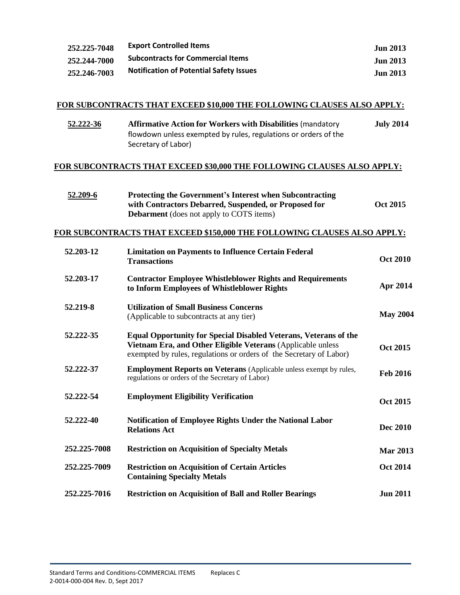| 252, 225-7048 | <b>Export Controlled Items</b>                 | Jun 2013        |
|---------------|------------------------------------------------|-----------------|
| 252.244-7000  | <b>Subcontracts for Commercial Items</b>       | Jun 2013        |
| 252,246-7003  | <b>Notification of Potential Safety Issues</b> | <b>Jun 2013</b> |

# **FOR SUBCONTRACTS THAT EXCEED \$10,000 THE FOLLOWING CLAUSES ALSO APPLY:**

| 52.222-36 | <b>Affirmative Action for Workers with Disabilities (mandatory)</b> | <b>July 2014</b> |
|-----------|---------------------------------------------------------------------|------------------|
|           | flowdown unless exempted by rules, regulations or orders of the     |                  |
|           | Secretary of Labor)                                                 |                  |

## **FOR SUBCONTRACTS THAT EXCEED \$30,000 THE FOLLOWING CLAUSES ALSO APPLY:**

| 52.209-6 | <b>Protecting the Government's Interest when Subcontracting</b> |                 |
|----------|-----------------------------------------------------------------|-----------------|
|          | with Contractors Debarred, Suspended, or Proposed for           | <b>Oct 2015</b> |
|          | <b>Debarment</b> (does not apply to COTS items)                 |                 |

#### **FOR SUBCONTRACTS THAT EXCEED \$150,000 THE FOLLOWING CLAUSES ALSO APPLY:**

| 52.203-12    | <b>Limitation on Payments to Influence Certain Federal</b><br><b>Transactions</b>                                                                                                                             | <b>Oct 2010</b> |
|--------------|---------------------------------------------------------------------------------------------------------------------------------------------------------------------------------------------------------------|-----------------|
| 52.203-17    | <b>Contractor Employee Whistleblower Rights and Requirements</b><br>to Inform Employees of Whistleblower Rights                                                                                               | Apr 2014        |
| 52.219-8     | <b>Utilization of Small Business Concerns</b><br>(Applicable to subcontracts at any tier)                                                                                                                     | <b>May 2004</b> |
| 52.222-35    | <b>Equal Opportunity for Special Disabled Veterans, Veterans of the</b><br>Vietnam Era, and Other Eligible Veterans (Applicable unless<br>exempted by rules, regulations or orders of the Secretary of Labor) | <b>Oct 2015</b> |
| 52.222-37    | <b>Employment Reports on Veterans</b> (Applicable unless exempt by rules,<br>regulations or orders of the Secretary of Labor)                                                                                 | <b>Feb 2016</b> |
| 52.222-54    | <b>Employment Eligibility Verification</b>                                                                                                                                                                    | <b>Oct 2015</b> |
| 52.222-40    | <b>Notification of Employee Rights Under the National Labor</b><br><b>Relations Act</b>                                                                                                                       | <b>Dec 2010</b> |
| 252,225-7008 | <b>Restriction on Acquisition of Specialty Metals</b>                                                                                                                                                         | <b>Mar 2013</b> |
| 252.225-7009 | <b>Restriction on Acquisition of Certain Articles</b><br><b>Containing Specialty Metals</b>                                                                                                                   | <b>Oct 2014</b> |
| 252.225-7016 | <b>Restriction on Acquisition of Ball and Roller Bearings</b>                                                                                                                                                 | <b>Jun 2011</b> |